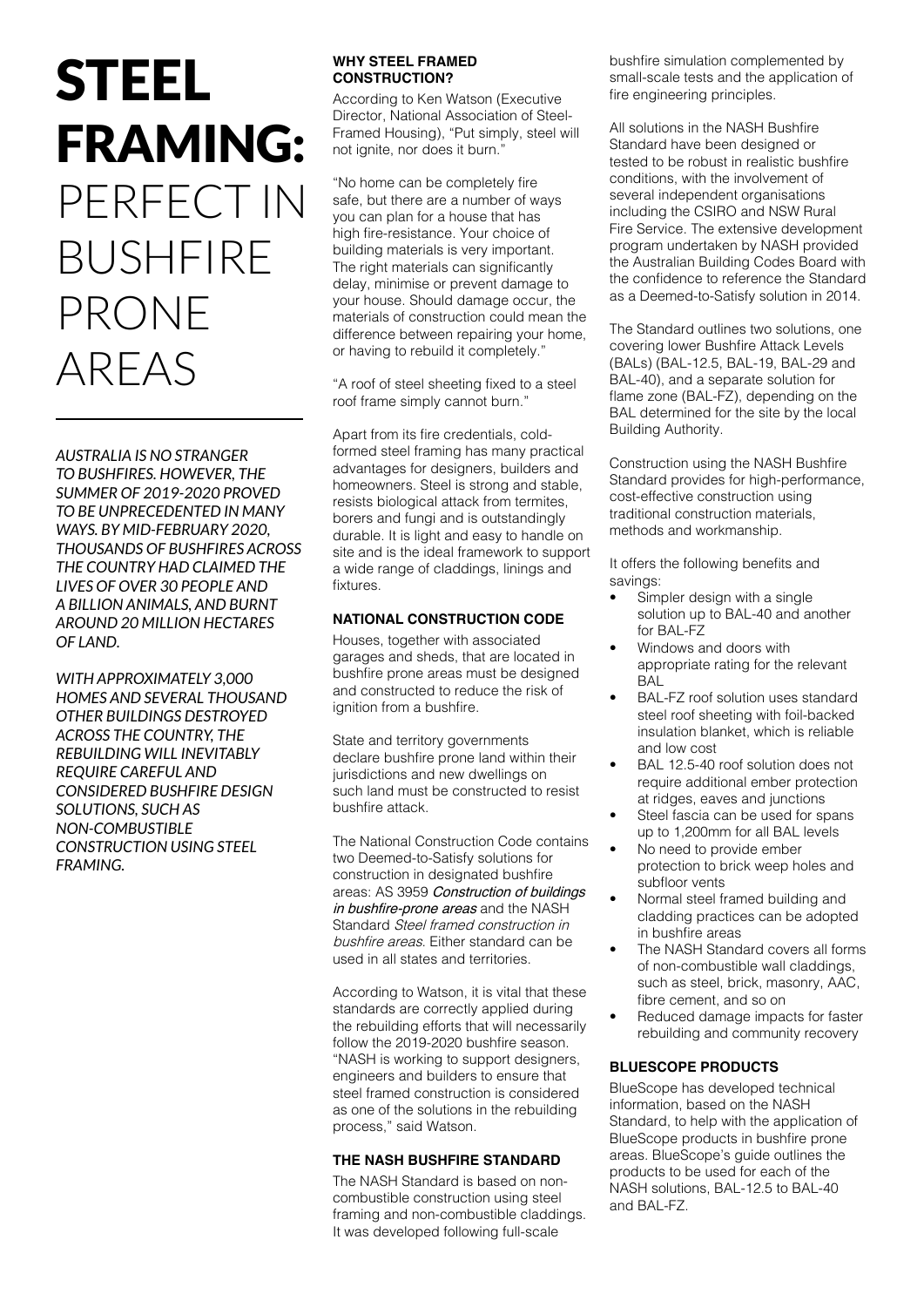# STEEL FRAMING: PERFECT IN BUSHFIRE PRONE AREAS

*AUSTRALIA IS NO STRANGER TO BUSHFIRES. HOWEVER, THE SUMMER OF 2019-2020 PROVED TO BE UNPRECEDENTED IN MANY WAYS. BY MID-FEBRUARY 2020, THOUSANDS OF BUSHFIRES ACROSS THE COUNTRY HAD CLAIMED THE LIVES OF OVER 30 PEOPLE AND A BILLION ANIMALS, AND BURNT AROUND 20 MILLION HECTARES OF LAND.* 

*WITH APPROXIMATELY 3,000 HOMES AND SEVERAL THOUSAND OTHER BUILDINGS DESTROYED ACROSS THE COUNTRY, THE REBUILDING WILL INEVITABLY REQUIRE CAREFUL AND CONSIDERED BUSHFIRE DESIGN SOLUTIONS, SUCH AS NON-COMBUSTIBLE CONSTRUCTION USING STEEL FRAMING.*

### **WHY STEEL FRAMED CONSTRUCTION?**

According to Ken Watson (Executive Director, National Association of Steel-Framed Housing), "Put simply, steel will not ignite, nor does it burn."

"No home can be completely fire safe, but there are a number of ways you can plan for a house that has high fire-resistance. Your choice of building materials is very important. The right materials can significantly delay, minimise or prevent damage to your house. Should damage occur, the materials of construction could mean the difference between repairing your home, or having to rebuild it completely."

"A roof of steel sheeting fixed to a steel roof frame simply cannot burn."

Apart from its fire credentials, coldformed steel framing has many practical advantages for designers, builders and homeowners. Steel is strong and stable, resists biological attack from termites, borers and fungi and is outstandingly durable. It is light and easy to handle on site and is the ideal framework to support a wide range of claddings, linings and fixtures.

## **NATIONAL CONSTRUCTION CODE**

Houses, together with associated garages and sheds, that are located in bushfire prone areas must be designed and constructed to reduce the risk of ignition from a bushfire.

State and territory governments declare bushfire prone land within their jurisdictions and new dwellings on such land must be constructed to resist bushfire attack.

The National Construction Code contains two Deemed-to-Satisfy solutions for construction in designated bushfire areas: AS 3959 Construction of buildings in bushfire-prone areas and the NASH Standard Steel framed construction in bushfire areas. Either standard can be used in all states and territories.

According to Watson, it is vital that these standards are correctly applied during the rebuilding efforts that will necessarily follow the 2019-2020 bushfire season. "NASH is working to support designers, engineers and builders to ensure that steel framed construction is considered as one of the solutions in the rebuilding process," said Watson.

## **THE NASH BUSHFIRE STANDARD**

The NASH Standard is based on noncombustible construction using steel framing and non-combustible claddings. It was developed following full-scale

bushfire simulation complemented by small-scale tests and the application of fire engineering principles.

All solutions in the NASH Bushfire Standard have been designed or tested to be robust in realistic bushfire conditions, with the involvement of several independent organisations including the CSIRO and NSW Rural Fire Service. The extensive development program undertaken by NASH provided the Australian Building Codes Board with the confidence to reference the Standard as a Deemed-to-Satisfy solution in 2014.

The Standard outlines two solutions, one covering lower Bushfire Attack Levels (BALs) (BAL-12.5, BAL-19, BAL-29 and BAL-40), and a separate solution for flame zone (BAL-FZ), depending on the BAL determined for the site by the local Building Authority.

Construction using the NASH Bushfire Standard provides for high-performance, cost-effective construction using traditional construction materials, methods and workmanship.

It offers the following benefits and savings:

- Simpler design with a single solution up to BAL-40 and another for BAL-FZ
- Windows and doors with appropriate rating for the relevant BAL
- BAL-FZ roof solution uses standard steel roof sheeting with foil-backed insulation blanket, which is reliable and low cost
- BAL 12.5-40 roof solution does not require additional ember protection at ridges, eaves and junctions
- Steel fascia can be used for spans up to 1,200mm for all BAL levels
- No need to provide ember protection to brick weep holes and subfloor vents
- Normal steel framed building and cladding practices can be adopted in bushfire areas
- The NASH Standard covers all forms of non-combustible wall claddings, such as steel, brick, masonry, AAC, fibre cement, and so on
- Reduced damage impacts for faster rebuilding and community recovery

## **BLUESCOPE PRODUCTS**

BlueScope has developed technical information, based on the NASH Standard, to help with the application of BlueScope products in bushfire prone areas. BlueScope's guide outlines the products to be used for each of the NASH solutions, BAL-12.5 to BAL-40 and BAL-FZ.